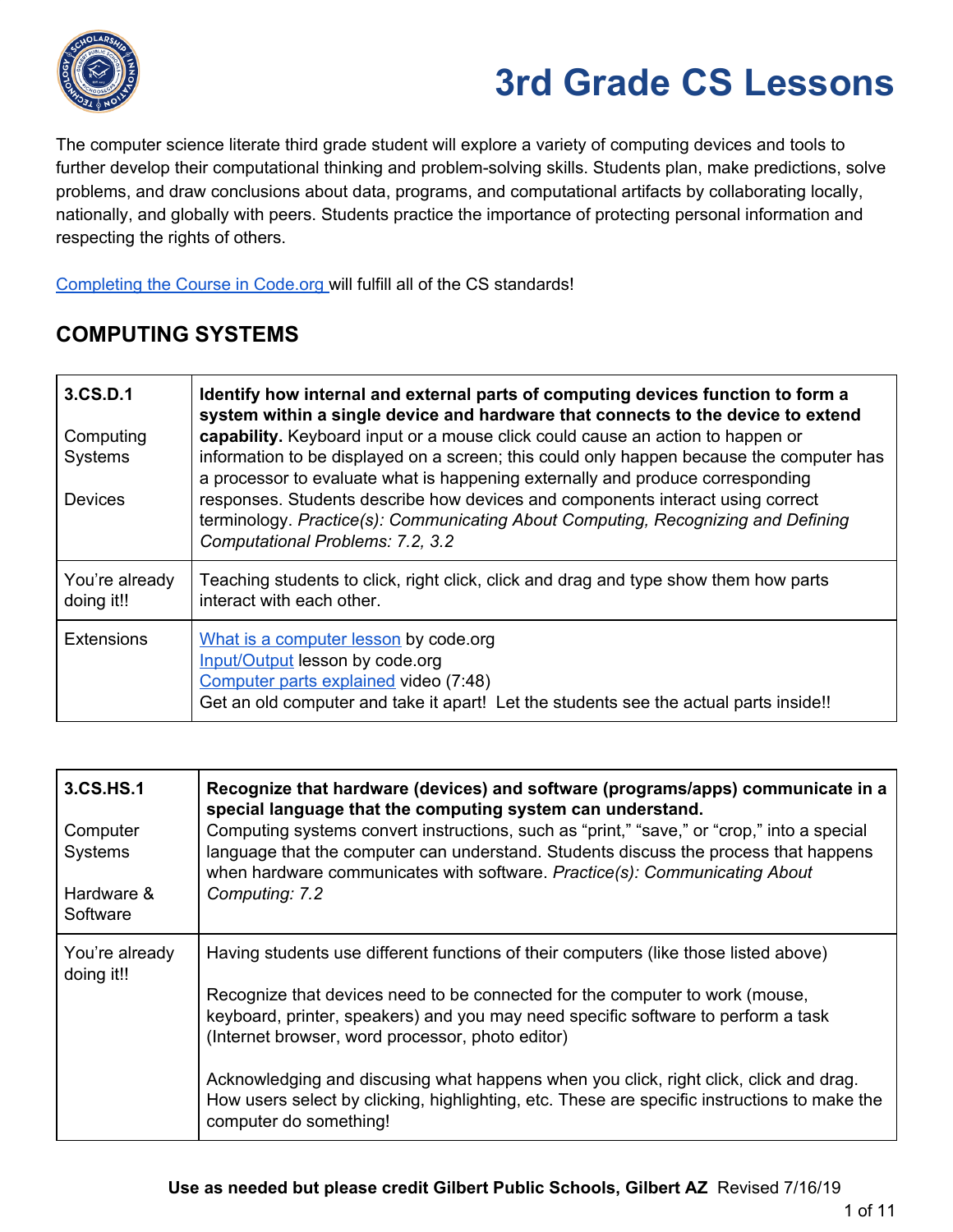

The computer science literate third grade student will explore a variety of computing devices and tools to further develop their computational thinking and problem-solving skills. Students plan, make predictions, solve problems, and draw conclusions about data, programs, and computational artifacts by collaborating locally, nationally, and globally with peers. Students practice the importance of protecting personal information and respecting the rights of others.

[Completing](https://code.org/educate/curriculum/elementary-school) the Course in Code.org will fulfill all of the CS standards!

### **COMPUTING SYSTEMS**

| 3.CS.D.1<br>Computing<br>Systems<br><b>Devices</b> | Identify how internal and external parts of computing devices function to form a<br>system within a single device and hardware that connects to the device to extend<br>capability. Keyboard input or a mouse click could cause an action to happen or<br>information to be displayed on a screen; this could only happen because the computer has<br>a processor to evaluate what is happening externally and produce corresponding<br>responses. Students describe how devices and components interact using correct<br>terminology. Practice(s): Communicating About Computing, Recognizing and Defining<br>Computational Problems: 7.2, 3.2 |
|----------------------------------------------------|-------------------------------------------------------------------------------------------------------------------------------------------------------------------------------------------------------------------------------------------------------------------------------------------------------------------------------------------------------------------------------------------------------------------------------------------------------------------------------------------------------------------------------------------------------------------------------------------------------------------------------------------------|
| You're already<br>doing it!!                       | Teaching students to click, right click, click and drag and type show them how parts<br>interact with each other.                                                                                                                                                                                                                                                                                                                                                                                                                                                                                                                               |
| <b>Extensions</b>                                  | What is a computer lesson by code.org<br>Input/Output lesson by code.org<br>Computer parts explained video (7:48)<br>Get an old computer and take it apart! Let the students see the actual parts inside!!                                                                                                                                                                                                                                                                                                                                                                                                                                      |

| 3.CS.HS.1<br>Computer<br>Systems<br>Hardware &<br>Software | Recognize that hardware (devices) and software (programs/apps) communicate in a<br>special language that the computing system can understand.<br>Computing systems convert instructions, such as "print," "save," or "crop," into a special<br>language that the computer can understand. Students discuss the process that happens<br>when hardware communicates with software. Practice(s): Communicating About<br>Computing: 7.2                                                                                              |
|------------------------------------------------------------|----------------------------------------------------------------------------------------------------------------------------------------------------------------------------------------------------------------------------------------------------------------------------------------------------------------------------------------------------------------------------------------------------------------------------------------------------------------------------------------------------------------------------------|
| You're already<br>doing it!!                               | Having students use different functions of their computers (like those listed above)<br>Recognize that devices need to be connected for the computer to work (mouse,<br>keyboard, printer, speakers) and you may need specific software to perform a task<br>(Internet browser, word processor, photo editor)<br>Acknowledging and discusing what happens when you click, right click, click and drag.<br>How users select by clicking, highlighting, etc. These are specific instructions to make the<br>computer do something! |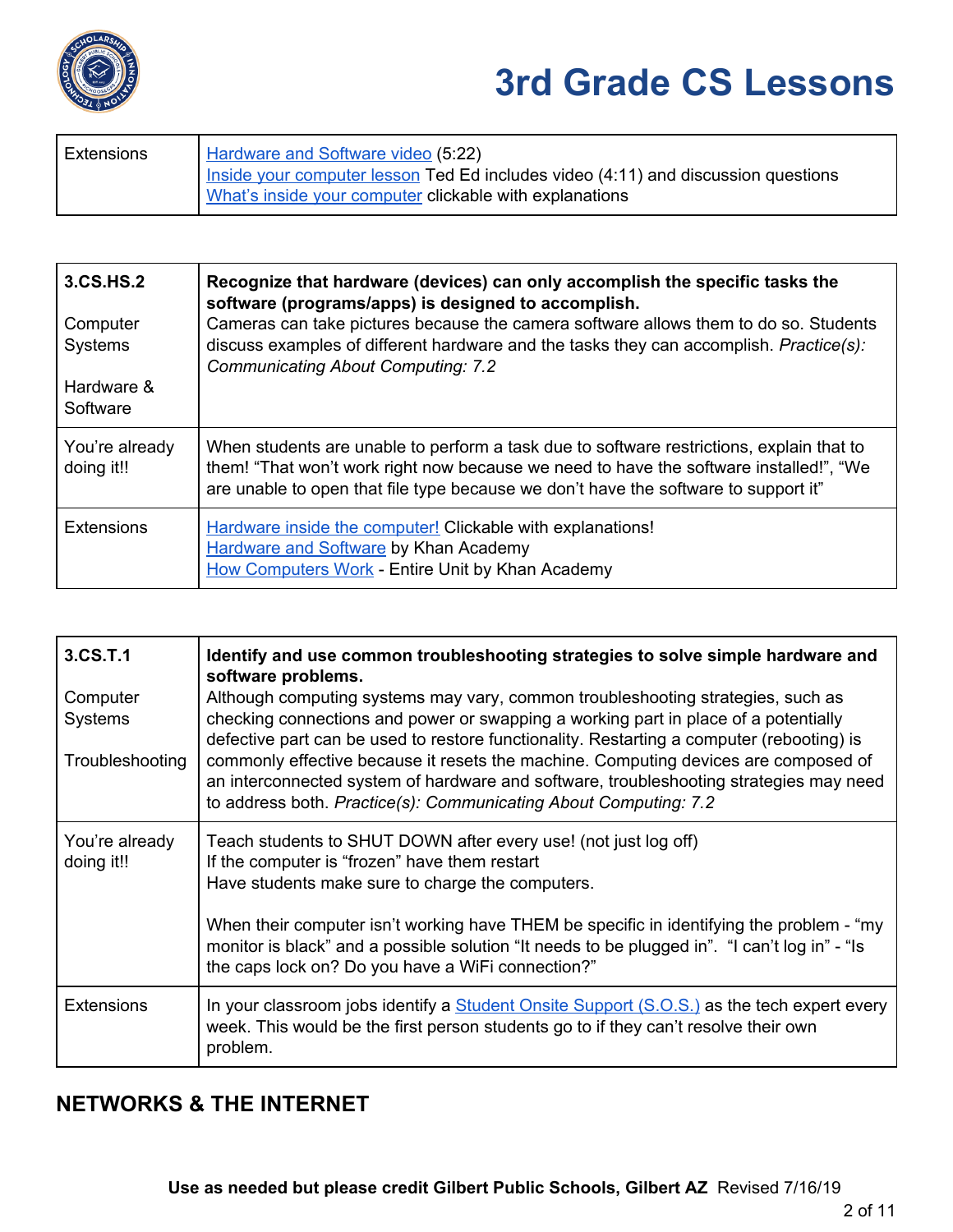

| Extensions | Hardware and Software video (5:22)                                                                                                           |
|------------|----------------------------------------------------------------------------------------------------------------------------------------------|
|            | Inside your computer lesson Ted Ed includes video (4:11) and discussion questions<br>What's inside your computer clickable with explanations |

| 3.CS.HS.2<br>Computer<br><b>Systems</b><br>Hardware &<br>Software | Recognize that hardware (devices) can only accomplish the specific tasks the<br>software (programs/apps) is designed to accomplish.<br>Cameras can take pictures because the camera software allows them to do so. Students<br>discuss examples of different hardware and the tasks they can accomplish. Practice(s):<br><b>Communicating About Computing: 7.2</b> |
|-------------------------------------------------------------------|--------------------------------------------------------------------------------------------------------------------------------------------------------------------------------------------------------------------------------------------------------------------------------------------------------------------------------------------------------------------|
| You're already<br>doing it!!                                      | When students are unable to perform a task due to software restrictions, explain that to<br>them! "That won't work right now because we need to have the software installed!", "We<br>are unable to open that file type because we don't have the software to support it"                                                                                          |
| <b>Extensions</b>                                                 | Hardware inside the computer! Clickable with explanations!<br><b>Hardware and Software by Khan Academy</b><br><b>How Computers Work - Entire Unit by Khan Academy</b>                                                                                                                                                                                              |

| 3.CS.T.1                                      | Identify and use common troubleshooting strategies to solve simple hardware and<br>software problems.                                                                                                                                                                                                                                                                                                                                                                                                                    |
|-----------------------------------------------|--------------------------------------------------------------------------------------------------------------------------------------------------------------------------------------------------------------------------------------------------------------------------------------------------------------------------------------------------------------------------------------------------------------------------------------------------------------------------------------------------------------------------|
| Computer<br><b>Systems</b><br>Troubleshooting | Although computing systems may vary, common troubleshooting strategies, such as<br>checking connections and power or swapping a working part in place of a potentially<br>defective part can be used to restore functionality. Restarting a computer (rebooting) is<br>commonly effective because it resets the machine. Computing devices are composed of<br>an interconnected system of hardware and software, troubleshooting strategies may need<br>to address both. Practice(s): Communicating About Computing: 7.2 |
| You're already<br>doing it!!                  | Teach students to SHUT DOWN after every use! (not just log off)<br>If the computer is "frozen" have them restart<br>Have students make sure to charge the computers.                                                                                                                                                                                                                                                                                                                                                     |
|                                               | When their computer isn't working have THEM be specific in identifying the problem - "my<br>monitor is black" and a possible solution "It needs to be plugged in". "I can't log in" - "Is<br>the caps lock on? Do you have a WiFi connection?"                                                                                                                                                                                                                                                                           |
| <b>Extensions</b>                             | In your classroom jobs identify a $Student$ Onsite Support $(S.O.S.)$ as the tech expert every<br>week. This would be the first person students go to if they can't resolve their own<br>problem.                                                                                                                                                                                                                                                                                                                        |

#### **NETWORKS & THE INTERNET**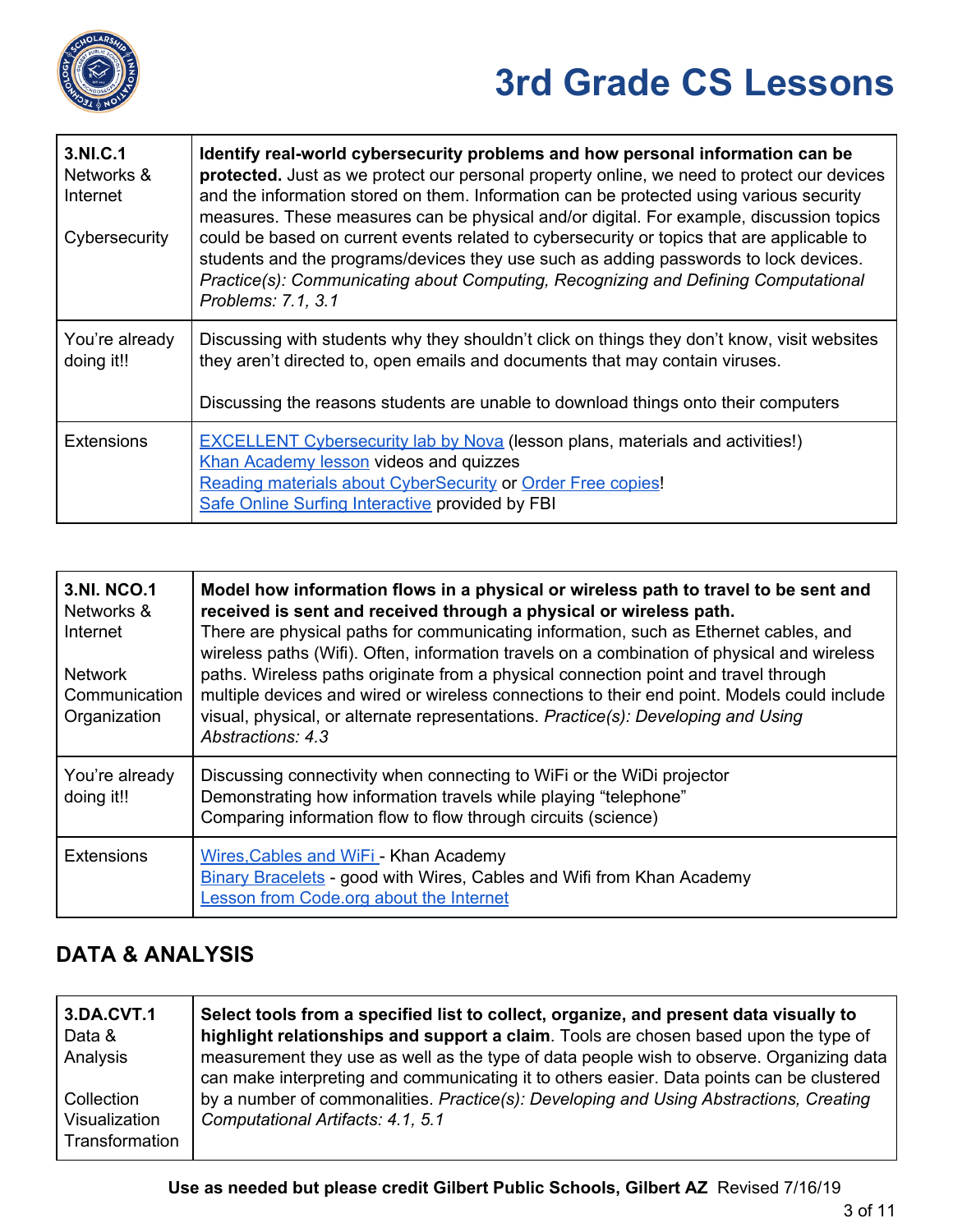

| 3.NI.C.1<br>Networks &<br>Internet<br>Cybersecurity | Identify real-world cybersecurity problems and how personal information can be<br>protected. Just as we protect our personal property online, we need to protect our devices<br>and the information stored on them. Information can be protected using various security<br>measures. These measures can be physical and/or digital. For example, discussion topics<br>could be based on current events related to cybersecurity or topics that are applicable to<br>students and the programs/devices they use such as adding passwords to lock devices.<br>Practice(s): Communicating about Computing, Recognizing and Defining Computational<br>Problems: 7.1, 3.1 |
|-----------------------------------------------------|----------------------------------------------------------------------------------------------------------------------------------------------------------------------------------------------------------------------------------------------------------------------------------------------------------------------------------------------------------------------------------------------------------------------------------------------------------------------------------------------------------------------------------------------------------------------------------------------------------------------------------------------------------------------|
| You're already<br>doing it!!                        | Discussing with students why they shouldn't click on things they don't know, visit websites<br>they aren't directed to, open emails and documents that may contain viruses.<br>Discussing the reasons students are unable to download things onto their computers                                                                                                                                                                                                                                                                                                                                                                                                    |
|                                                     |                                                                                                                                                                                                                                                                                                                                                                                                                                                                                                                                                                                                                                                                      |
| <b>Extensions</b>                                   | <b>EXCELLENT Cybersecurity lab by Nova (lesson plans, materials and activities!)</b><br>Khan Academy lesson videos and quizzes<br>Reading materials about CyberSecurity or Order Free copies!<br>Safe Online Surfing Interactive provided by FBI                                                                                                                                                                                                                                                                                                                                                                                                                     |

| <b>3.NI. NCO.1</b><br>Networks &<br>Internet<br><b>Network</b><br>Communication<br>Organization | Model how information flows in a physical or wireless path to travel to be sent and<br>received is sent and received through a physical or wireless path.<br>There are physical paths for communicating information, such as Ethernet cables, and<br>wireless paths (Wifi). Often, information travels on a combination of physical and wireless<br>paths. Wireless paths originate from a physical connection point and travel through<br>multiple devices and wired or wireless connections to their end point. Models could include<br>visual, physical, or alternate representations. Practice(s): Developing and Using<br>Abstractions: 4.3 |
|-------------------------------------------------------------------------------------------------|--------------------------------------------------------------------------------------------------------------------------------------------------------------------------------------------------------------------------------------------------------------------------------------------------------------------------------------------------------------------------------------------------------------------------------------------------------------------------------------------------------------------------------------------------------------------------------------------------------------------------------------------------|
| You're already<br>doing it!!                                                                    | Discussing connectivity when connecting to WiFi or the WiDi projector<br>Demonstrating how information travels while playing "telephone"<br>Comparing information flow to flow through circuits (science)                                                                                                                                                                                                                                                                                                                                                                                                                                        |
| <b>Extensions</b>                                                                               | Wires, Cables and WiFi - Khan Academy<br><b>Binary Bracelets - good with Wires, Cables and Wifi from Khan Academy</b><br><b>Lesson from Code.org about the Internet</b>                                                                                                                                                                                                                                                                                                                                                                                                                                                                          |

### **DATA & ANALYSIS**

| 3.DA.CVT.1<br>Data &<br>Analysis              | Select tools from a specified list to collect, organize, and present data visually to<br>highlight relationships and support a claim. Tools are chosen based upon the type of<br>measurement they use as well as the type of data people wish to observe. Organizing data<br>can make interpreting and communicating it to others easier. Data points can be clustered |
|-----------------------------------------------|------------------------------------------------------------------------------------------------------------------------------------------------------------------------------------------------------------------------------------------------------------------------------------------------------------------------------------------------------------------------|
| Collection<br>Visualization<br>Transformation | by a number of commonalities. Practice(s): Developing and Using Abstractions, Creating<br>Computational Artifacts: 4.1, 5.1                                                                                                                                                                                                                                            |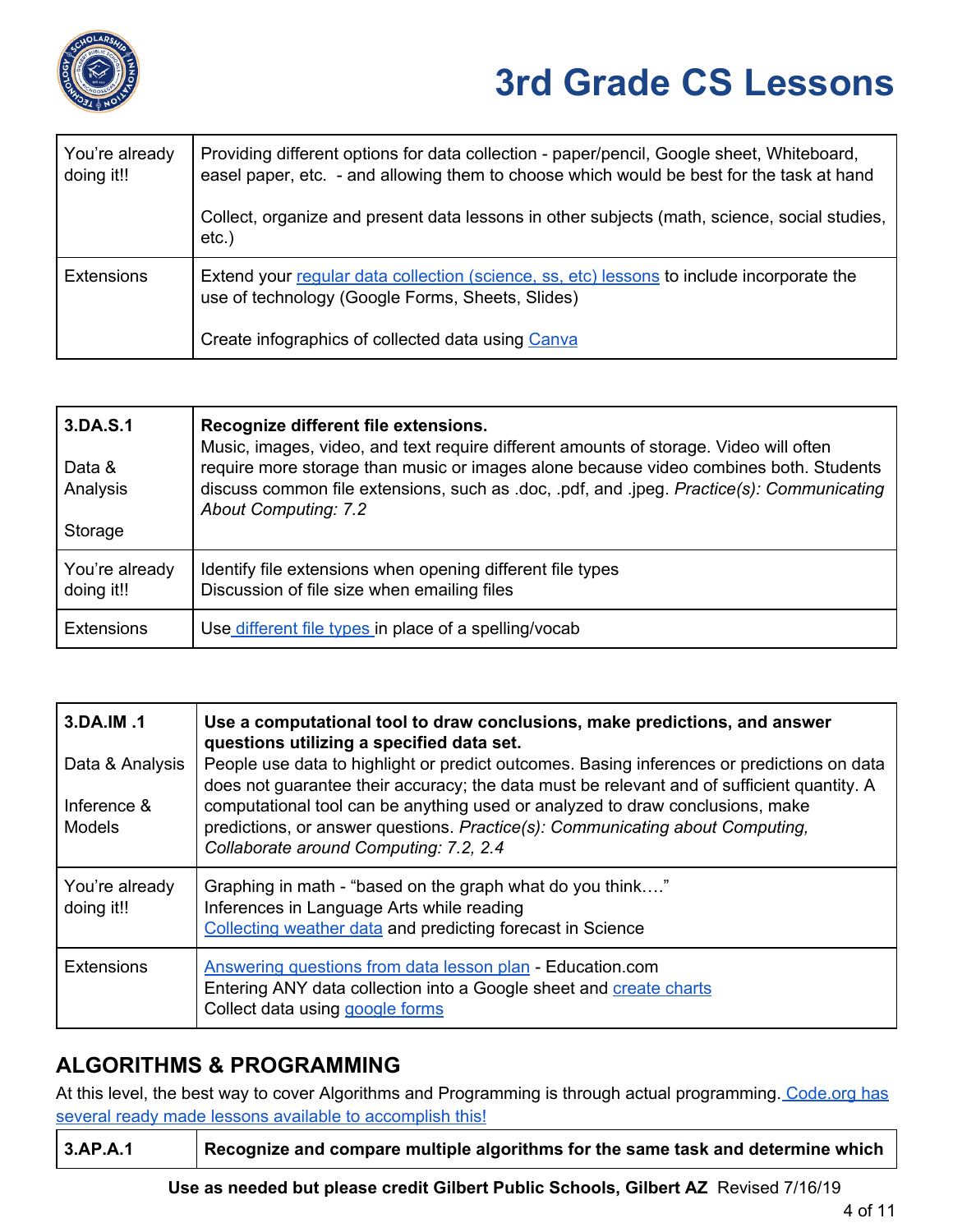

| You're already<br>doing it!! | Providing different options for data collection - paper/pencil, Google sheet, Whiteboard,<br>easel paper, etc. - and allowing them to choose which would be best for the task at hand |
|------------------------------|---------------------------------------------------------------------------------------------------------------------------------------------------------------------------------------|
|                              | Collect, organize and present data lessons in other subjects (math, science, social studies,<br>$etc.$ )                                                                              |
| <b>Extensions</b>            | Extend your regular data collection (science, ss, etc) lessons to include incorporate the<br>use of technology (Google Forms, Sheets, Slides)                                         |
|                              | Create infographics of collected data using Canva                                                                                                                                     |

| 3.DA.S.1<br>Data &<br>Analysis | Recognize different file extensions.<br>Music, images, video, and text require different amounts of storage. Video will often<br>require more storage than music or images alone because video combines both. Students<br>discuss common file extensions, such as .doc, .pdf, and .jpeg. Practice(s): Communicating<br><b>About Computing: 7.2</b> |
|--------------------------------|----------------------------------------------------------------------------------------------------------------------------------------------------------------------------------------------------------------------------------------------------------------------------------------------------------------------------------------------------|
| Storage                        |                                                                                                                                                                                                                                                                                                                                                    |
| You're already<br>doing it!!   | Identify file extensions when opening different file types<br>Discussion of file size when emailing files                                                                                                                                                                                                                                          |
| <b>Extensions</b>              | Use different file types in place of a spelling/vocab                                                                                                                                                                                                                                                                                              |

| 3.DA.IM.1                    | Use a computational tool to draw conclusions, make predictions, and answer<br>questions utilizing a specified data set.                                                                                  |
|------------------------------|----------------------------------------------------------------------------------------------------------------------------------------------------------------------------------------------------------|
| Data & Analysis              | People use data to highlight or predict outcomes. Basing inferences or predictions on data<br>does not guarantee their accuracy; the data must be relevant and of sufficient quantity. A                 |
| Inference &<br><b>Models</b> | computational tool can be anything used or analyzed to draw conclusions, make<br>predictions, or answer questions. Practice(s): Communicating about Computing,<br>Collaborate around Computing: 7.2, 2.4 |
| You're already<br>doing it!! | Graphing in math - "based on the graph what do you think"<br>Inferences in Language Arts while reading<br>Collecting weather data and predicting forecast in Science                                     |
| <b>Extensions</b>            | Answering questions from data lesson plan - Education.com<br>Entering ANY data collection into a Google sheet and create charts<br>Collect data using google forms                                       |

#### **ALGORITHMS & PROGRAMMING**

At this level, the best way to cover Algorithms and Programming is through actual programming. [Code.org](https://code.org/educate/curriculum/elementary-school) has several ready made lessons available to [accomplish](https://code.org/educate/curriculum/elementary-school) this!

| 3.AP.A.1 | Recognize and compare multiple algorithms for the same task and determine which |
|----------|---------------------------------------------------------------------------------|
|----------|---------------------------------------------------------------------------------|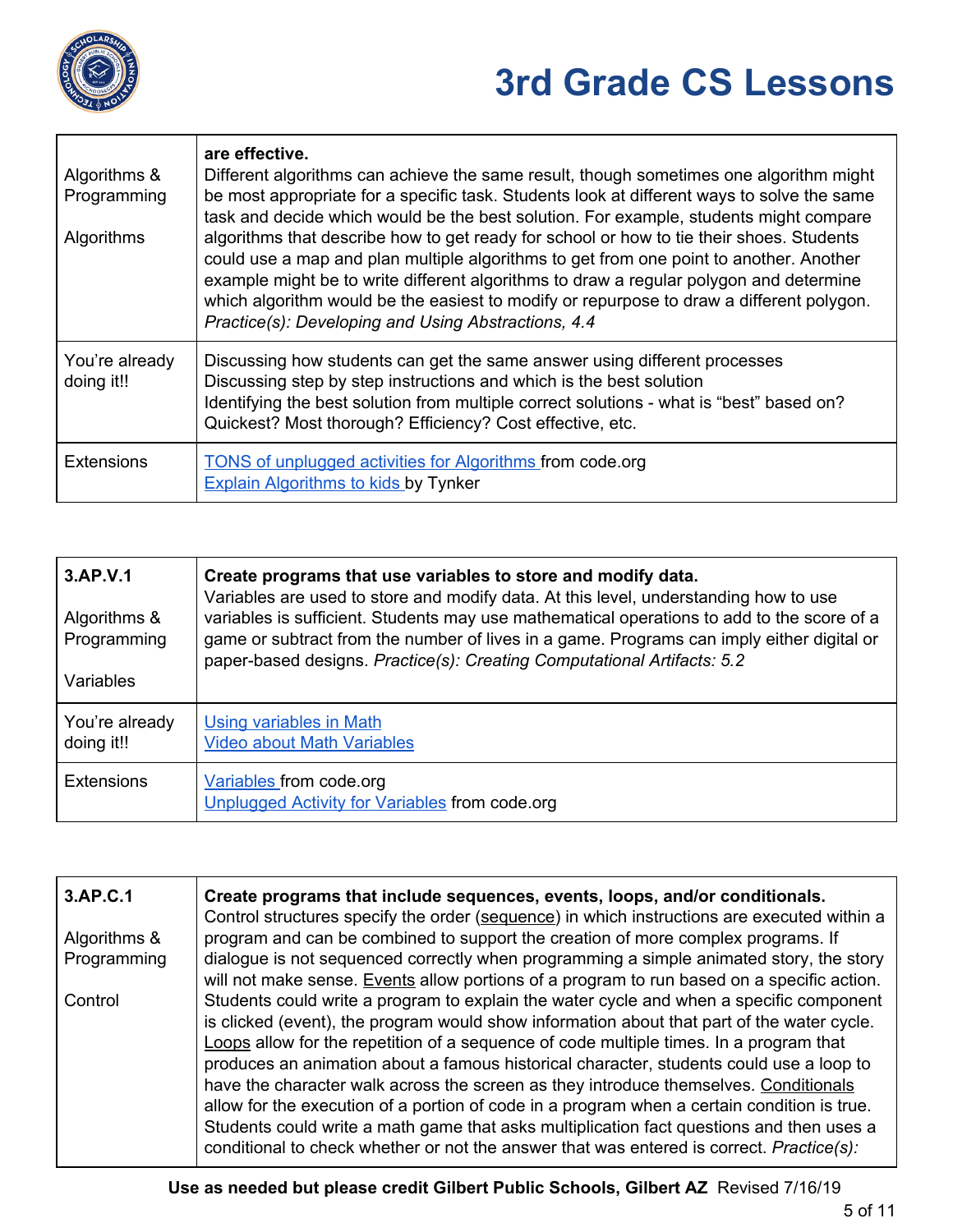

| Algorithms &<br>Programming<br>Algorithms | are effective.<br>Different algorithms can achieve the same result, though sometimes one algorithm might<br>be most appropriate for a specific task. Students look at different ways to solve the same<br>task and decide which would be the best solution. For example, students might compare<br>algorithms that describe how to get ready for school or how to tie their shoes. Students<br>could use a map and plan multiple algorithms to get from one point to another. Another<br>example might be to write different algorithms to draw a regular polygon and determine<br>which algorithm would be the easiest to modify or repurpose to draw a different polygon.<br>Practice(s): Developing and Using Abstractions, 4.4 |
|-------------------------------------------|------------------------------------------------------------------------------------------------------------------------------------------------------------------------------------------------------------------------------------------------------------------------------------------------------------------------------------------------------------------------------------------------------------------------------------------------------------------------------------------------------------------------------------------------------------------------------------------------------------------------------------------------------------------------------------------------------------------------------------|
| You're already<br>doing it!!              | Discussing how students can get the same answer using different processes<br>Discussing step by step instructions and which is the best solution<br>Identifying the best solution from multiple correct solutions - what is "best" based on?<br>Quickest? Most thorough? Efficiency? Cost effective, etc.                                                                                                                                                                                                                                                                                                                                                                                                                          |
| <b>Extensions</b>                         | <b>TONS of unplugged activities for Algorithms from code.org</b><br><b>Explain Algorithms to kids by Tynker</b>                                                                                                                                                                                                                                                                                                                                                                                                                                                                                                                                                                                                                    |

| 3.AP.V.1<br>Algorithms &<br>Programming<br>Variables | Create programs that use variables to store and modify data.<br>Variables are used to store and modify data. At this level, understanding how to use<br>variables is sufficient. Students may use mathematical operations to add to the score of a<br>game or subtract from the number of lives in a game. Programs can imply either digital or<br>paper-based designs. Practice(s): Creating Computational Artifacts: 5.2 |
|------------------------------------------------------|----------------------------------------------------------------------------------------------------------------------------------------------------------------------------------------------------------------------------------------------------------------------------------------------------------------------------------------------------------------------------------------------------------------------------|
| You're already<br>doing it!!                         | <b>Using variables in Math</b><br><b>Video about Math Variables</b>                                                                                                                                                                                                                                                                                                                                                        |
| <b>Extensions</b>                                    | Variables from code.org<br>Unplugged Activity for Variables from code.org                                                                                                                                                                                                                                                                                                                                                  |

| 3.AP.C.1     | Create programs that include sequences, events, loops, and/or conditionals.<br>Control structures specify the order (sequence) in which instructions are executed within a                                                                                                                                                                                                                                                                                                                                                                                                                                                                                                                                                                                |
|--------------|-----------------------------------------------------------------------------------------------------------------------------------------------------------------------------------------------------------------------------------------------------------------------------------------------------------------------------------------------------------------------------------------------------------------------------------------------------------------------------------------------------------------------------------------------------------------------------------------------------------------------------------------------------------------------------------------------------------------------------------------------------------|
| Algorithms & | program and can be combined to support the creation of more complex programs. If                                                                                                                                                                                                                                                                                                                                                                                                                                                                                                                                                                                                                                                                          |
| Programming  | dialogue is not sequenced correctly when programming a simple animated story, the story<br>will not make sense. Events allow portions of a program to run based on a specific action.                                                                                                                                                                                                                                                                                                                                                                                                                                                                                                                                                                     |
| Control      | Students could write a program to explain the water cycle and when a specific component<br>is clicked (event), the program would show information about that part of the water cycle.<br>Loops allow for the repetition of a sequence of code multiple times. In a program that<br>produces an animation about a famous historical character, students could use a loop to<br>have the character walk across the screen as they introduce themselves. Conditionals<br>allow for the execution of a portion of code in a program when a certain condition is true.<br>Students could write a math game that asks multiplication fact questions and then uses a<br>conditional to check whether or not the answer that was entered is correct. Practice(s): |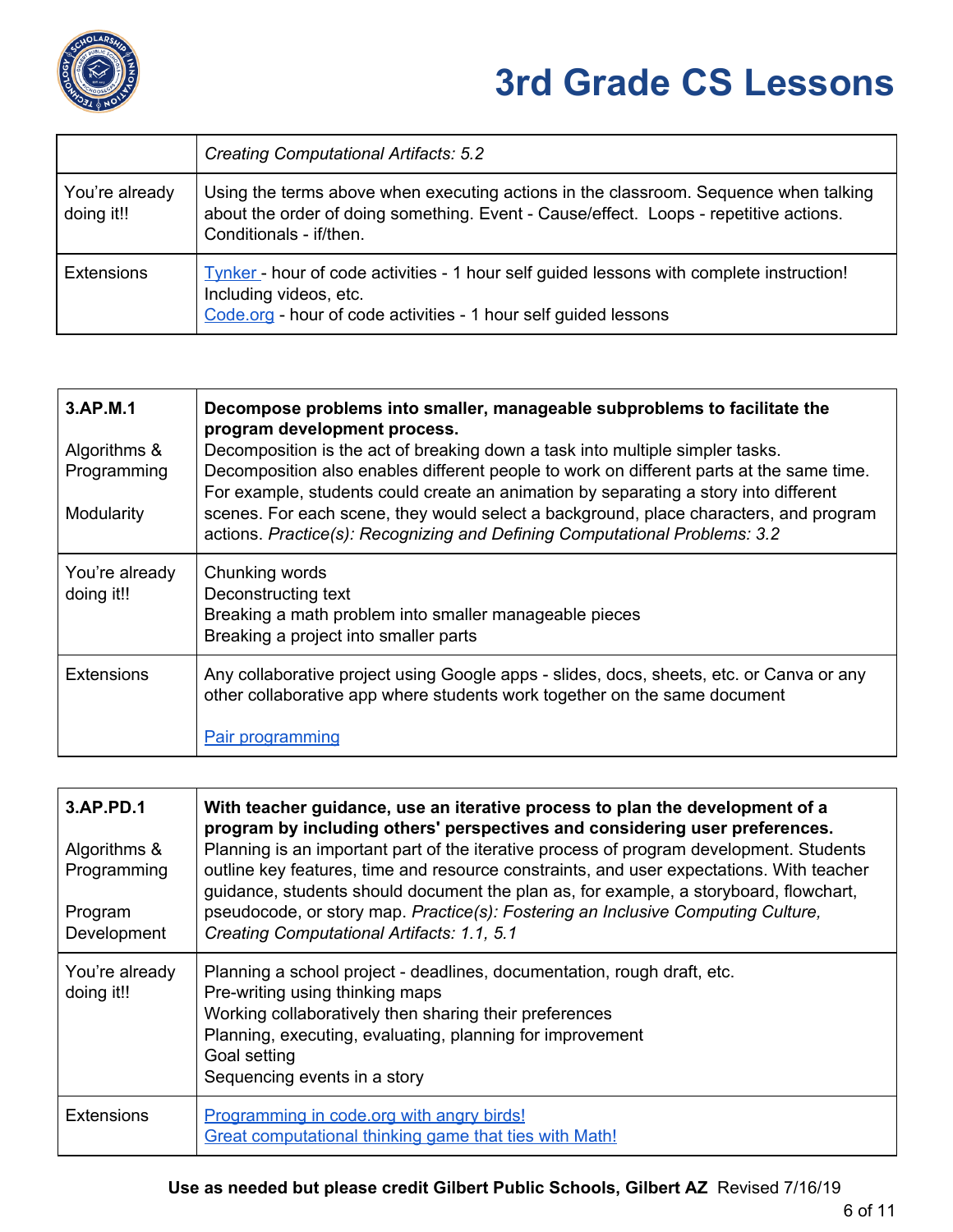

|                              | <b>Creating Computational Artifacts: 5.2</b>                                                                                                                                                             |
|------------------------------|----------------------------------------------------------------------------------------------------------------------------------------------------------------------------------------------------------|
| You're already<br>doing it!! | Using the terms above when executing actions in the classroom. Sequence when talking<br>about the order of doing something. Event - Cause/effect. Loops - repetitive actions.<br>Conditionals - if/then. |
| <b>Extensions</b>            | Tynker - hour of code activities - 1 hour self guided lessons with complete instruction!<br>Including videos, etc.<br>Code.org - hour of code activities - 1 hour self guided lessons                    |

| 3.AP.M.1<br>Algorithms &<br>Programming<br>Modularity | Decompose problems into smaller, manageable subproblems to facilitate the<br>program development process.<br>Decomposition is the act of breaking down a task into multiple simpler tasks.<br>Decomposition also enables different people to work on different parts at the same time.<br>For example, students could create an animation by separating a story into different<br>scenes. For each scene, they would select a background, place characters, and program<br>actions. Practice(s): Recognizing and Defining Computational Problems: 3.2 |
|-------------------------------------------------------|-------------------------------------------------------------------------------------------------------------------------------------------------------------------------------------------------------------------------------------------------------------------------------------------------------------------------------------------------------------------------------------------------------------------------------------------------------------------------------------------------------------------------------------------------------|
| You're already<br>doing it!!                          | Chunking words<br>Deconstructing text<br>Breaking a math problem into smaller manageable pieces<br>Breaking a project into smaller parts                                                                                                                                                                                                                                                                                                                                                                                                              |
| <b>Extensions</b>                                     | Any collaborative project using Google apps - slides, docs, sheets, etc. or Canva or any<br>other collaborative app where students work together on the same document<br><b>Pair programming</b>                                                                                                                                                                                                                                                                                                                                                      |

| 3.AP.PD.1<br>Algorithms &<br>Programming<br>Program<br>Development | With teacher guidance, use an iterative process to plan the development of a<br>program by including others' perspectives and considering user preferences.<br>Planning is an important part of the iterative process of program development. Students<br>outline key features, time and resource constraints, and user expectations. With teacher<br>guidance, students should document the plan as, for example, a storyboard, flowchart,<br>pseudocode, or story map. Practice(s): Fostering an Inclusive Computing Culture,<br>Creating Computational Artifacts: 1.1, 5.1 |
|--------------------------------------------------------------------|-------------------------------------------------------------------------------------------------------------------------------------------------------------------------------------------------------------------------------------------------------------------------------------------------------------------------------------------------------------------------------------------------------------------------------------------------------------------------------------------------------------------------------------------------------------------------------|
| You're already<br>doing it!!                                       | Planning a school project - deadlines, documentation, rough draft, etc.<br>Pre-writing using thinking maps<br>Working collaboratively then sharing their preferences<br>Planning, executing, evaluating, planning for improvement<br>Goal setting<br>Sequencing events in a story                                                                                                                                                                                                                                                                                             |
| <b>Extensions</b>                                                  | Programming in code.org with angry birds!<br>Great computational thinking game that ties with Math!                                                                                                                                                                                                                                                                                                                                                                                                                                                                           |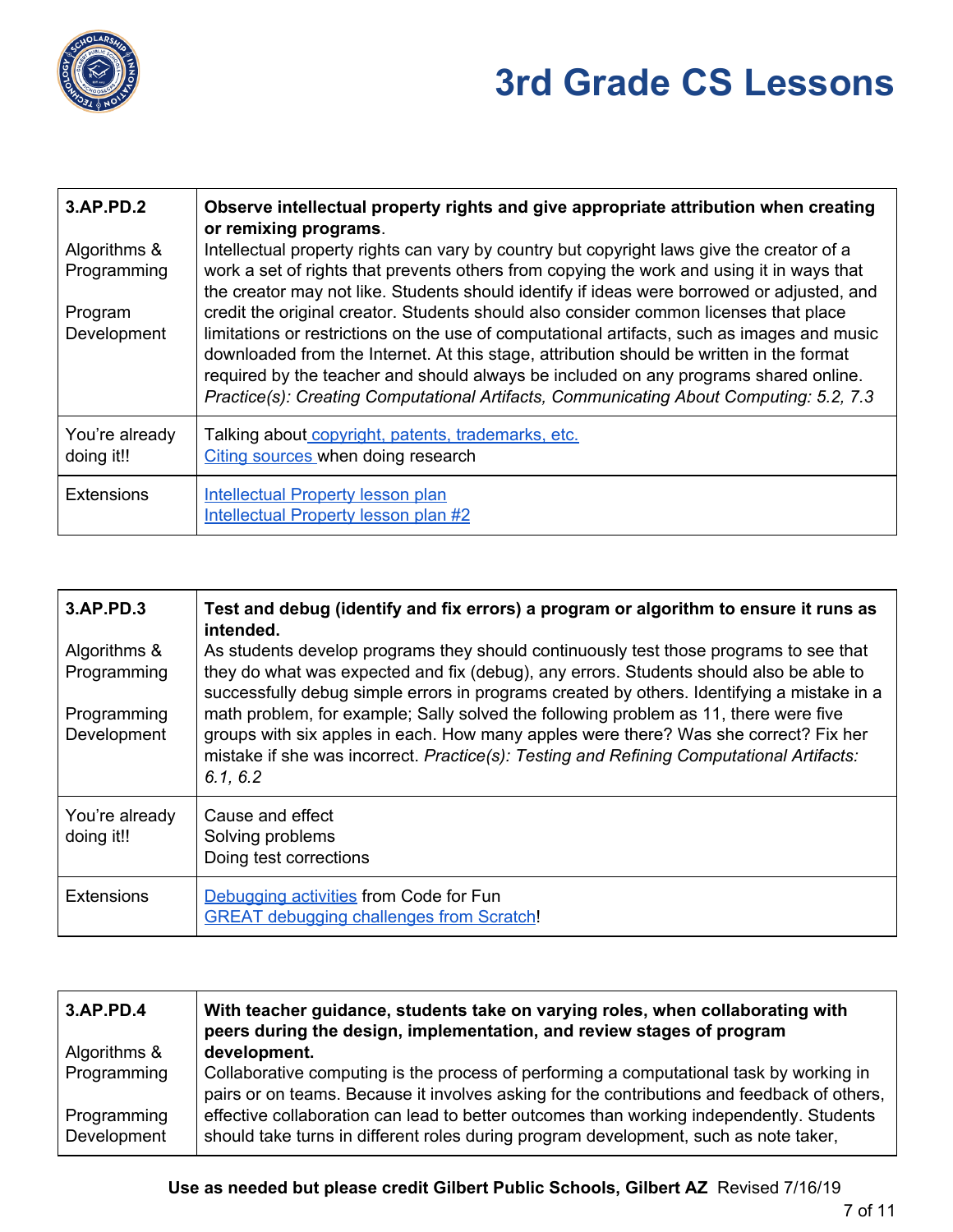

| 3.AP.PD.2<br>Algorithms &<br>Programming<br>Program<br>Development | Observe intellectual property rights and give appropriate attribution when creating<br>or remixing programs.<br>Intellectual property rights can vary by country but copyright laws give the creator of a<br>work a set of rights that prevents others from copying the work and using it in ways that<br>the creator may not like. Students should identify if ideas were borrowed or adjusted, and<br>credit the original creator. Students should also consider common licenses that place<br>limitations or restrictions on the use of computational artifacts, such as images and music<br>downloaded from the Internet. At this stage, attribution should be written in the format<br>required by the teacher and should always be included on any programs shared online.<br>Practice(s): Creating Computational Artifacts, Communicating About Computing: 5.2, 7.3 |
|--------------------------------------------------------------------|----------------------------------------------------------------------------------------------------------------------------------------------------------------------------------------------------------------------------------------------------------------------------------------------------------------------------------------------------------------------------------------------------------------------------------------------------------------------------------------------------------------------------------------------------------------------------------------------------------------------------------------------------------------------------------------------------------------------------------------------------------------------------------------------------------------------------------------------------------------------------|
| You're already<br>doing it!!                                       | Talking about copyright, patents, trademarks, etc.<br>Citing sources when doing research                                                                                                                                                                                                                                                                                                                                                                                                                                                                                                                                                                                                                                                                                                                                                                                   |
| <b>Extensions</b>                                                  | <b>Intellectual Property lesson plan</b><br><b>Intellectual Property lesson plan #2</b>                                                                                                                                                                                                                                                                                                                                                                                                                                                                                                                                                                                                                                                                                                                                                                                    |

| 3.AP.PD.3                    | Test and debug (identify and fix errors) a program or algorithm to ensure it runs as<br>intended.                                                                                                                                                                                    |
|------------------------------|--------------------------------------------------------------------------------------------------------------------------------------------------------------------------------------------------------------------------------------------------------------------------------------|
| Algorithms &<br>Programming  | As students develop programs they should continuously test those programs to see that<br>they do what was expected and fix (debug), any errors. Students should also be able to<br>successfully debug simple errors in programs created by others. Identifying a mistake in a        |
| Programming<br>Development   | math problem, for example; Sally solved the following problem as 11, there were five<br>groups with six apples in each. How many apples were there? Was she correct? Fix her<br>mistake if she was incorrect. Practice(s): Testing and Refining Computational Artifacts:<br>6.1, 6.2 |
| You're already<br>doing it!! | Cause and effect<br>Solving problems<br>Doing test corrections                                                                                                                                                                                                                       |
| <b>Extensions</b>            | Debugging activities from Code for Fun<br><b>GREAT debugging challenges from Scratch!</b>                                                                                                                                                                                            |

| 3.AP.PD.4                  | With teacher guidance, students take on varying roles, when collaborating with<br>peers during the design, implementation, and review stages of program                                |
|----------------------------|----------------------------------------------------------------------------------------------------------------------------------------------------------------------------------------|
| Algorithms &               | development.                                                                                                                                                                           |
| Programming                | Collaborative computing is the process of performing a computational task by working in<br>pairs or on teams. Because it involves asking for the contributions and feedback of others, |
| Programming<br>Development | effective collaboration can lead to better outcomes than working independently. Students<br>should take turns in different roles during program development, such as note taker,       |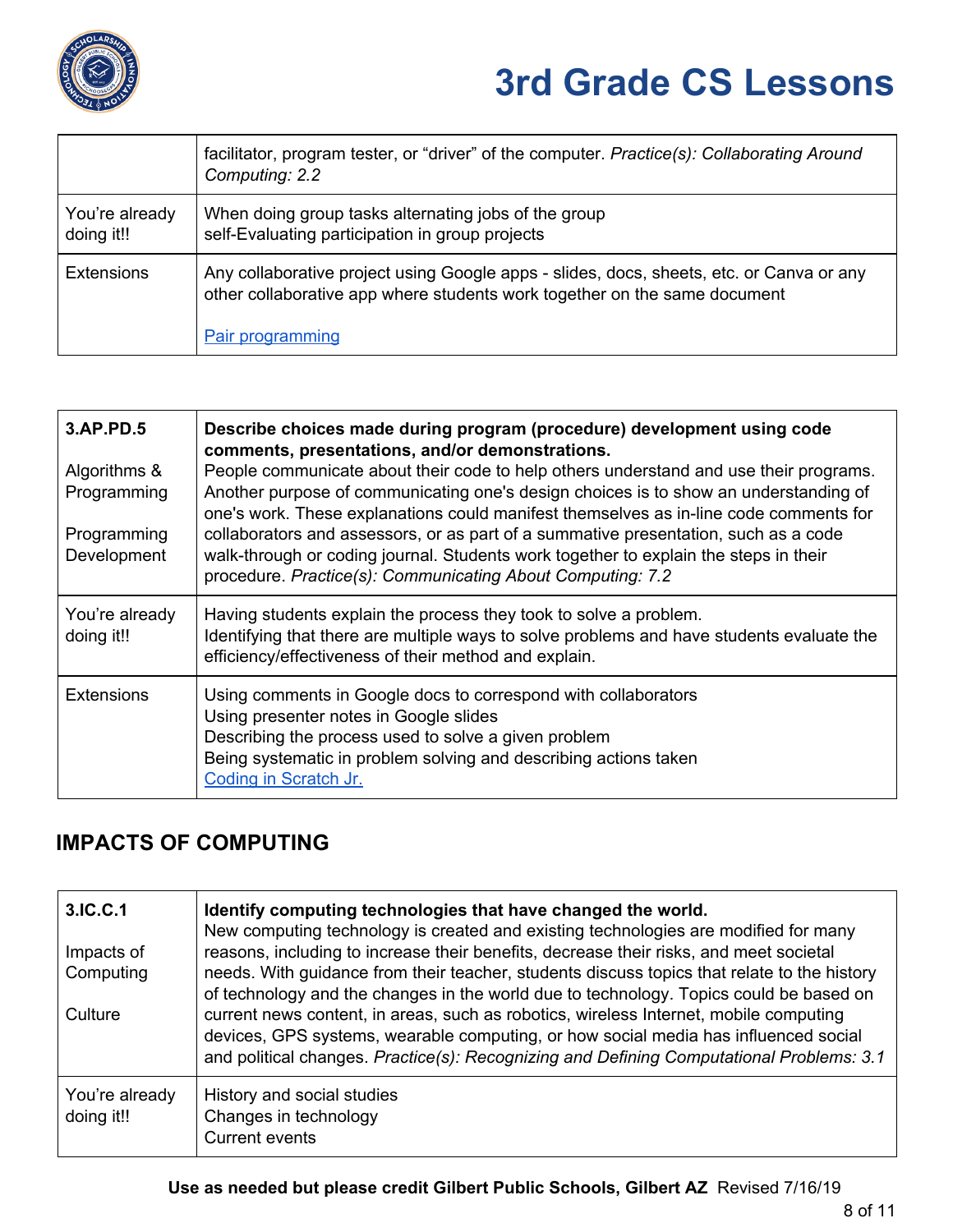

|                              | facilitator, program tester, or "driver" of the computer. Practice(s): Collaborating Around<br>Computing: 2.2                                                                                    |
|------------------------------|--------------------------------------------------------------------------------------------------------------------------------------------------------------------------------------------------|
| You're already<br>doing it!! | When doing group tasks alternating jobs of the group<br>self-Evaluating participation in group projects                                                                                          |
| <b>Extensions</b>            | Any collaborative project using Google apps - slides, docs, sheets, etc. or Canva or any<br>other collaborative app where students work together on the same document<br><b>Pair programming</b> |

| 3.AP.PD.5                    | Describe choices made during program (procedure) development using code<br>comments, presentations, and/or demonstrations.                                                                                                                                                                                                         |
|------------------------------|------------------------------------------------------------------------------------------------------------------------------------------------------------------------------------------------------------------------------------------------------------------------------------------------------------------------------------|
| Algorithms &<br>Programming  | People communicate about their code to help others understand and use their programs.<br>Another purpose of communicating one's design choices is to show an understanding of                                                                                                                                                      |
| Programming<br>Development   | one's work. These explanations could manifest themselves as in-line code comments for<br>collaborators and assessors, or as part of a summative presentation, such as a code<br>walk-through or coding journal. Students work together to explain the steps in their<br>procedure. Practice(s): Communicating About Computing: 7.2 |
| You're already<br>doing it!! | Having students explain the process they took to solve a problem.<br>Identifying that there are multiple ways to solve problems and have students evaluate the<br>efficiency/effectiveness of their method and explain.                                                                                                            |
| <b>Extensions</b>            | Using comments in Google docs to correspond with collaborators<br>Using presenter notes in Google slides<br>Describing the process used to solve a given problem<br>Being systematic in problem solving and describing actions taken<br>Coding in Scratch Jr.                                                                      |

### **IMPACTS OF COMPUTING**

| 3.IC.C.1<br>Impacts of<br>Computing<br>Culture | Identify computing technologies that have changed the world.<br>New computing technology is created and existing technologies are modified for many<br>reasons, including to increase their benefits, decrease their risks, and meet societal<br>needs. With guidance from their teacher, students discuss topics that relate to the history<br>of technology and the changes in the world due to technology. Topics could be based on<br>current news content, in areas, such as robotics, wireless Internet, mobile computing<br>devices, GPS systems, wearable computing, or how social media has influenced social<br>and political changes. Practice(s): Recognizing and Defining Computational Problems: 3.1 |
|------------------------------------------------|--------------------------------------------------------------------------------------------------------------------------------------------------------------------------------------------------------------------------------------------------------------------------------------------------------------------------------------------------------------------------------------------------------------------------------------------------------------------------------------------------------------------------------------------------------------------------------------------------------------------------------------------------------------------------------------------------------------------|
| You're already<br>doing it!!                   | History and social studies<br>Changes in technology<br><b>Current events</b>                                                                                                                                                                                                                                                                                                                                                                                                                                                                                                                                                                                                                                       |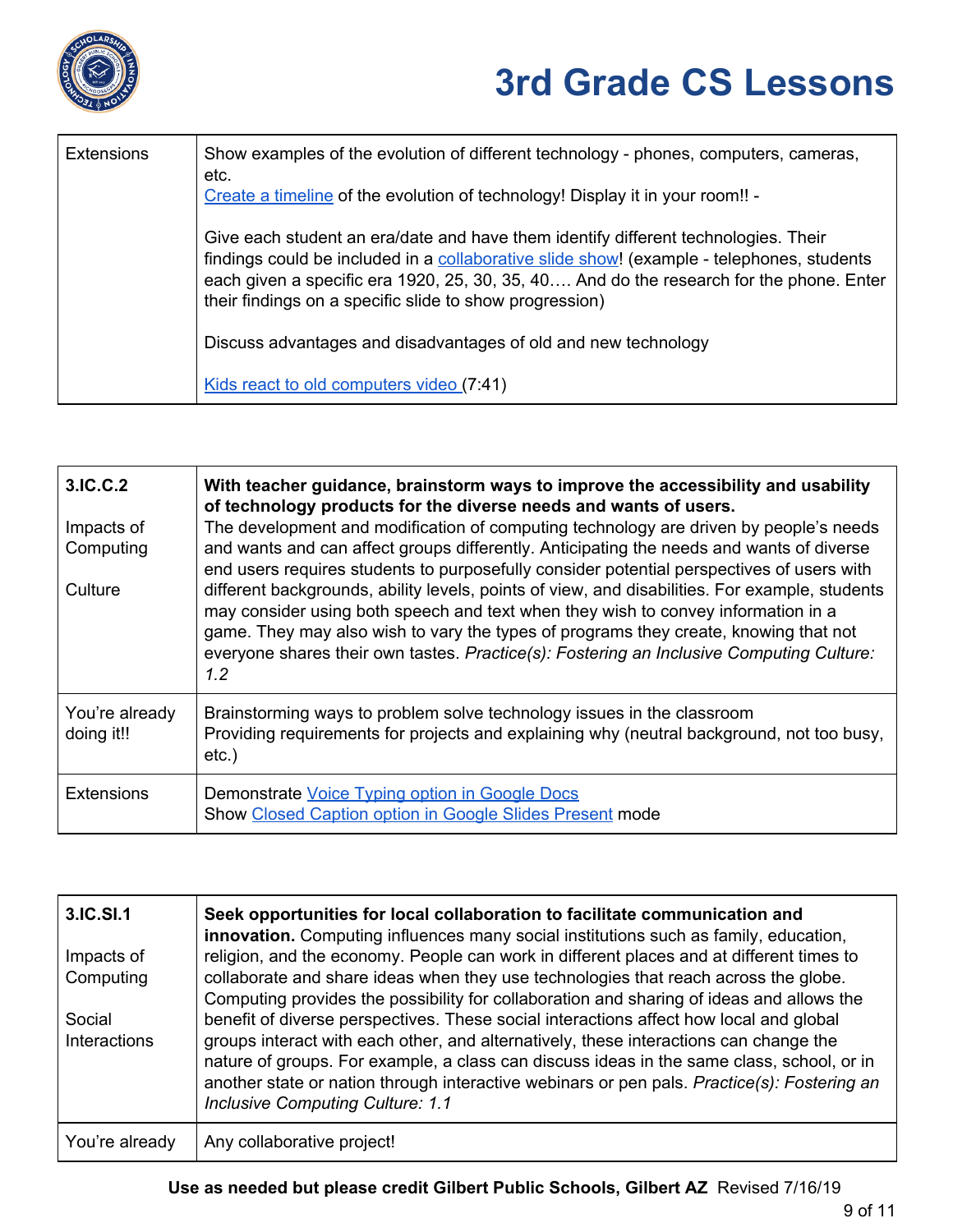

| <b>Extensions</b> | Show examples of the evolution of different technology - phones, computers, cameras,<br>etc.<br>Create a timeline of the evolution of technology! Display it in your room!! -                                                                                                                                                         |
|-------------------|---------------------------------------------------------------------------------------------------------------------------------------------------------------------------------------------------------------------------------------------------------------------------------------------------------------------------------------|
|                   | Give each student an era/date and have them identify different technologies. Their<br>findings could be included in a collaborative slide show! (example - telephones, students<br>each given a specific era 1920, 25, 30, 35, 40 And do the research for the phone. Enter<br>their findings on a specific slide to show progression) |
|                   | Discuss advantages and disadvantages of old and new technology                                                                                                                                                                                                                                                                        |
|                   | Kids react to old computers video (7:41)                                                                                                                                                                                                                                                                                              |

| 3.IC.C.2                     | With teacher guidance, brainstorm ways to improve the accessibility and usability<br>of technology products for the diverse needs and wants of users.                                                                                                                                                                                                                          |
|------------------------------|--------------------------------------------------------------------------------------------------------------------------------------------------------------------------------------------------------------------------------------------------------------------------------------------------------------------------------------------------------------------------------|
| Impacts of<br>Computing      | The development and modification of computing technology are driven by people's needs<br>and wants and can affect groups differently. Anticipating the needs and wants of diverse<br>end users requires students to purposefully consider potential perspectives of users with                                                                                                 |
| Culture                      | different backgrounds, ability levels, points of view, and disabilities. For example, students<br>may consider using both speech and text when they wish to convey information in a<br>game. They may also wish to vary the types of programs they create, knowing that not<br>everyone shares their own tastes. Practice(s): Fostering an Inclusive Computing Culture:<br>1.2 |
| You're already<br>doing it!! | Brainstorming ways to problem solve technology issues in the classroom<br>Providing requirements for projects and explaining why (neutral background, not too busy,<br>$etc.$ )                                                                                                                                                                                                |
| <b>Extensions</b>            | Demonstrate Voice Typing option in Google Docs<br>Show Closed Caption option in Google Slides Present mode                                                                                                                                                                                                                                                                     |

| 3.IC.SI.1      | Seek opportunities for local collaboration to facilitate communication and<br>innovation. Computing influences many social institutions such as family, education,                                                                                                                                                           |
|----------------|------------------------------------------------------------------------------------------------------------------------------------------------------------------------------------------------------------------------------------------------------------------------------------------------------------------------------|
| Impacts of     | religion, and the economy. People can work in different places and at different times to                                                                                                                                                                                                                                     |
| Computing      | collaborate and share ideas when they use technologies that reach across the globe.                                                                                                                                                                                                                                          |
|                | Computing provides the possibility for collaboration and sharing of ideas and allows the                                                                                                                                                                                                                                     |
| Social         | benefit of diverse perspectives. These social interactions affect how local and global                                                                                                                                                                                                                                       |
| Interactions   | groups interact with each other, and alternatively, these interactions can change the<br>nature of groups. For example, a class can discuss ideas in the same class, school, or in<br>another state or nation through interactive webinars or pen pals. Practice(s): Fostering an<br><b>Inclusive Computing Culture: 1.1</b> |
| You're already | Any collaborative project!                                                                                                                                                                                                                                                                                                   |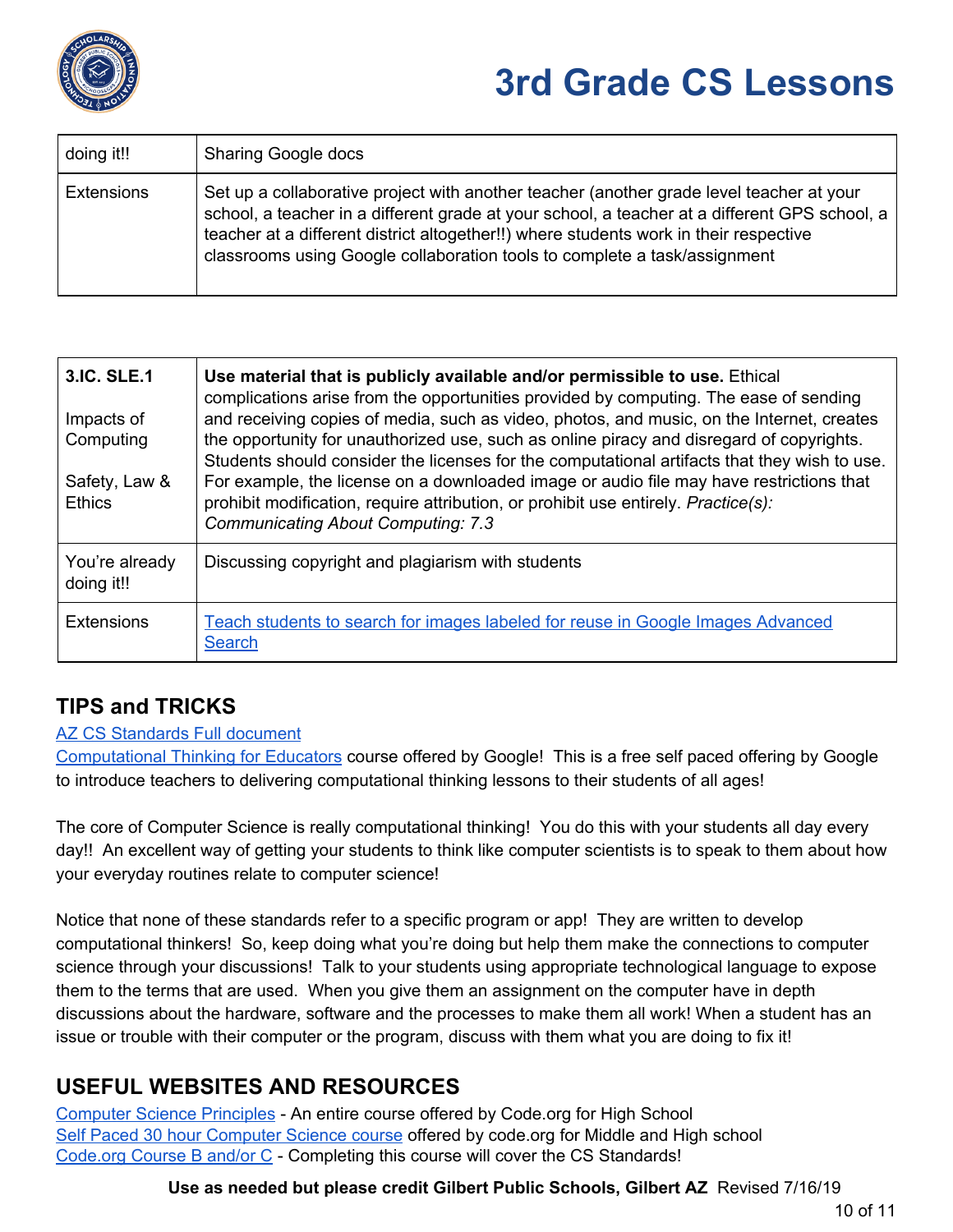

| doing it!!        | <b>Sharing Google docs</b>                                                                                                                                                                                                                                                                                                                                      |
|-------------------|-----------------------------------------------------------------------------------------------------------------------------------------------------------------------------------------------------------------------------------------------------------------------------------------------------------------------------------------------------------------|
| <b>Extensions</b> | Set up a collaborative project with another teacher (another grade level teacher at your<br>school, a teacher in a different grade at your school, a teacher at a different GPS school, a<br>teacher at a different district altogether!!) where students work in their respective<br>classrooms using Google collaboration tools to complete a task/assignment |

| 3.IC. SLE.1<br>Impacts of<br>Computing<br>Safety, Law &<br><b>Ethics</b> | Use material that is publicly available and/or permissible to use. Ethical<br>complications arise from the opportunities provided by computing. The ease of sending<br>and receiving copies of media, such as video, photos, and music, on the Internet, creates<br>the opportunity for unauthorized use, such as online piracy and disregard of copyrights.<br>Students should consider the licenses for the computational artifacts that they wish to use.<br>For example, the license on a downloaded image or audio file may have restrictions that<br>prohibit modification, require attribution, or prohibit use entirely. Practice(s):<br><b>Communicating About Computing: 7.3</b> |
|--------------------------------------------------------------------------|--------------------------------------------------------------------------------------------------------------------------------------------------------------------------------------------------------------------------------------------------------------------------------------------------------------------------------------------------------------------------------------------------------------------------------------------------------------------------------------------------------------------------------------------------------------------------------------------------------------------------------------------------------------------------------------------|
| You're already<br>doing it!!                                             | Discussing copyright and plagiarism with students                                                                                                                                                                                                                                                                                                                                                                                                                                                                                                                                                                                                                                          |
| <b>Extensions</b>                                                        | Teach students to search for images labeled for reuse in Google Images Advanced<br>Search                                                                                                                                                                                                                                                                                                                                                                                                                                                                                                                                                                                                  |

#### **TIPS and TRICKS**

#### AZ CS [Standards](https://cms.azed.gov/home/GetDocumentFile?id=5bd8a46a1dcb250944216fea) Full document

[Computational](https://computationalthinkingcourse.withgoogle.com/course) Thinking for Educators course offered by Google! This is a free self paced offering by Google to introduce teachers to delivering computational thinking lessons to their students of all ages!

The core of Computer Science is really computational thinking! You do this with your students all day every day!! An excellent way of getting your students to think like computer scientists is to speak to them about how your everyday routines relate to computer science!

Notice that none of these standards refer to a specific program or app! They are written to develop computational thinkers! So, keep doing what you're doing but help them make the connections to computer science through your discussions! Talk to your students using appropriate technological language to expose them to the terms that are used. When you give them an assignment on the computer have in depth discussions about the hardware, software and the processes to make them all work! When a student has an issue or trouble with their computer or the program, discuss with them what you are doing to fix it!

#### **USEFUL WEBSITES AND RESOURCES**

[Computer](https://curriculum.code.org/csp-18/) Science Principles - An entire course offered by Code.org for High School Self Paced 30 hour [Computer](https://studio.code.org/s/express-2018?section_id=1682768) Science course offered by code.org for Middle and High school [Code.org](https://studio.code.org/s/courseb-2018) Course B and/or C - Completing this course will cover the CS Standards!